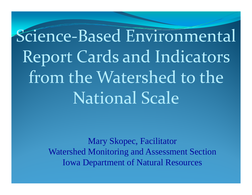# Science‐Based Environmental Report Cards and Indicators from the Watershed to the National Scale

Mary Skopec, Facilitator Watershed Monitoring and Assessment Section Iowa Department of Natural Resources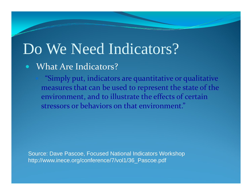## Do We Need Indicators?

#### $\bullet$ What Are Indicators?

 "Simply put, indicators are quantitative or qualitative measures that can be used to represent the state of the environment, and to illustrate the effects of certain stressors or behaviors on that environment."

Source: Dave Pascoe, Focused National Indicators Workshop http://www.inece.org/conference/7/vol1/36\_Pascoe.pdf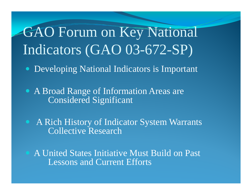## GAO Forum on Key National Indicators (GAO 03-672-SP)

- $\bullet$ Developing National Indicators is Important
- A Broad Range of Information Areas are Considered Significant
- $\bigodot$  A Rich History of Indicator System Warrants Collective Research
- A United States Initiative Must Build on Past Lessons and Current Efforts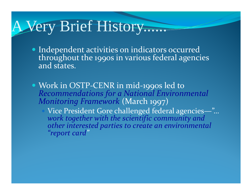#### A Very Brief History......

- Independent activities on indicators occurred throughout the 1990s in various federal agencies and states.
- Work in OSTP-CENR in mid-1990s led to Recommendations for a National Environmental Monitoring Framework (March 1997)
	- Vice President Gore challenged federal agencies-"...<br>work together with the scientific community and other interested parties to create an environmental "report card"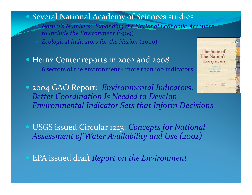#### **Several National Academy of Sciences studies**

- Nature's Numbers: Expanding the National Economic Accounts to Include the Environment (1999)
- **Ecological Indicators for the Nation (2000)**
- Heinz Center reports in 2002 and 2008 6 sectors of the environment - more than 100 indicators
- 2004 GAO Report: Environmental Indicators: **Better Coordination Is Needed to Develop Environmental Indicator Sets that Inform Decisions**
- USGS issued Circular 1223, Concepts for National Assessment of Water Availability and Use (2002)
- **EPA** issued draft Report on the Environment

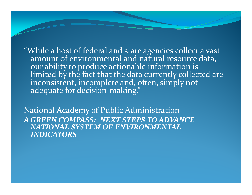"While a host of federal and state agencies collect <sup>a</sup> vast amount of environmental and natural resource data, our ability to produce actionable information is our ability to produce actionable information is<br>limited by the fact that the data currently collected are inconsistent, incomplete and, often, simply not adequate for decision-making."

National Academy of Public Administration *A GREEN COMPASS: NEXT STEPS TO ADVANCE NATIONAL SYSTEM OF ENVIRONMENTAL INDICATORS*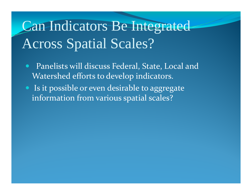## Can Indicators Be Integrated Across Spatial Scales?

- $\bullet$  Panelists will discuss Federal, State, Local and Watershed efforts to develop indicators.
- Is it possible or even desirable to aggregate information from various spatial scales?